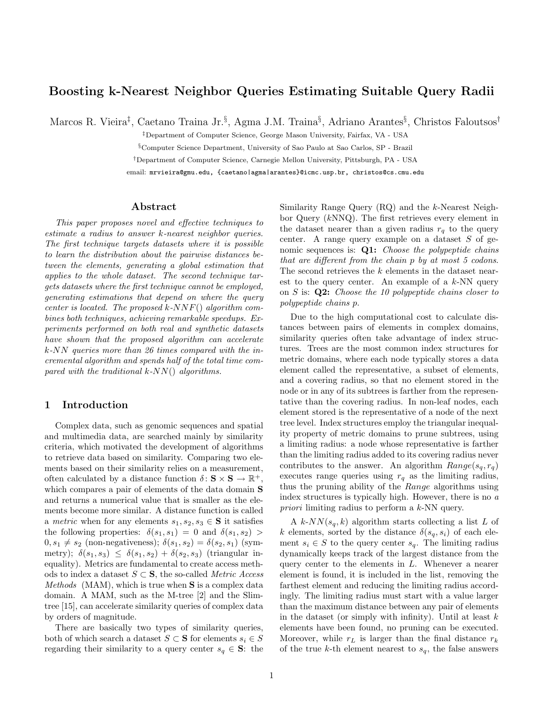# Boosting k-Nearest Neighbor Queries Estimating Suitable Query Radii

Marcos R. Vieira<sup>‡</sup>, Caetano Traina Jr.<sup>§</sup>, Agma J.M. Traina<sup>§</sup>, Adriano Arantes<sup>§</sup>, Christos Faloutsos<sup>†</sup>

‡Department of Computer Science, George Mason University, Fairfax, VA - USA

§Computer Science Department, University of Sao Paulo at Sao Carlos, SP - Brazil

†Department of Computer Science, Carnegie Mellon University, Pittsburgh, PA - USA

email: mrvieira@gmu.edu, {caetano|agma|arantes}@icmc.usp.br, christos@cs.cmu.edu

#### Abstract

This paper proposes novel and effective techniques to estimate a radius to answer k-nearest neighbor queries. The first technique targets datasets where it is possible to learn the distribution about the pairwise distances between the elements, generating a global estimation that applies to the whole dataset. The second technique targets datasets where the first technique cannot be employed, generating estimations that depend on where the query center is located. The proposed  $k\text{-}NNF()$  algorithm combines both techniques, achieving remarkable speedups. Experiments performed on both real and synthetic datasets have shown that the proposed algorithm can accelerate k-NN queries more than 26 times compared with the incremental algorithm and spends half of the total time compared with the traditional  $k$ -NN() algorithms.

## 1 Introduction

Complex data, such as genomic sequences and spatial and multimedia data, are searched mainly by similarity criteria, which motivated the development of algorithms to retrieve data based on similarity. Comparing two elements based on their similarity relies on a measurement, often calculated by a distance function  $\delta: \mathbf{S} \times \mathbf{S} \to \mathbb{R}^+,$ which compares a pair of elements of the data domain **S** and returns a numerical value that is smaller as the elements become more similar. A distance function is called a metric when for any elements  $s_1, s_2, s_3 \in \mathbf{S}$  it satisfies the following properties:  $\delta(s_1, s_1) = 0$  and  $\delta(s_1, s_2)$  $0, s_1 \neq s_2$  (non-negativeness);  $\delta(s_1, s_2) = \delta(s_2, s_1)$  (symmetry);  $\delta(s_1, s_3) \leq \delta(s_1, s_2) + \delta(s_2, s_3)$  (triangular inequality). Metrics are fundamental to create access methods to index a dataset  $S \subset \mathbf{S}$ , the so-called *Metric Access Methods* (MAM), which is true when  $S$  is a complex data domain. A MAM, such as the M-tree [2] and the Slimtree [15], can accelerate similarity queries of complex data by orders of magnitude.

There are basically two types of similarity queries, both of which search a dataset  $S \subset \mathbf{S}$  for elements  $s_i \in S$ regarding their similarity to a query center  $s_q \in \mathbf{S}$ : the Similarity Range Query (RQ) and the k-Nearest Neighbor Query (kNNQ). The first retrieves every element in the dataset nearer than a given radius  $r_q$  to the query center. A range query example on a dataset  $S$  of genomic sequences is:  $Q1$ : *Choose the polypeptide chains* that are different from the chain p by at most 5 codons. The second retrieves the k elements in the dataset nearest to the query center. An example of a  $k$ -NN query on  $S$  is:  $Q2$ : Choose the 10 polypeptide chains closer to polypeptide chains p.

Due to the high computational cost to calculate distances between pairs of elements in complex domains, similarity queries often take advantage of index structures. Trees are the most common index structures for metric domains, where each node typically stores a data element called the representative, a subset of elements, and a covering radius, so that no element stored in the node or in any of its subtrees is farther from the representative than the covering radius. In non-leaf nodes, each element stored is the representative of a node of the next tree level. Index structures employ the triangular inequality property of metric domains to prune subtrees, using a limiting radius: a node whose representative is farther than the limiting radius added to its covering radius never contributes to the answer. An algorithm  $Range(s_q, r_q)$ executes range queries using  $r_q$  as the limiting radius, thus the pruning ability of the Range algorithms using index structures is typically high. However, there is no a priori limiting radius to perform a k-NN query.

A  $k$ -NN( $s_q, k$ ) algorithm starts collecting a list L of k elements, sorted by the distance  $\delta(s_q, s_i)$  of each element  $s_i \in S$  to the query center  $s_q$ . The limiting radius dynamically keeps track of the largest distance from the query center to the elements in L. Whenever a nearer element is found, it is included in the list, removing the farthest element and reducing the limiting radius accordingly. The limiting radius must start with a value larger than the maximum distance between any pair of elements in the dataset (or simply with infinity). Until at least  $k$ elements have been found, no pruning can be executed. Moreover, while  $r_L$  is larger than the final distance  $r_k$ of the true k-th element nearest to  $s_q$ , the false answers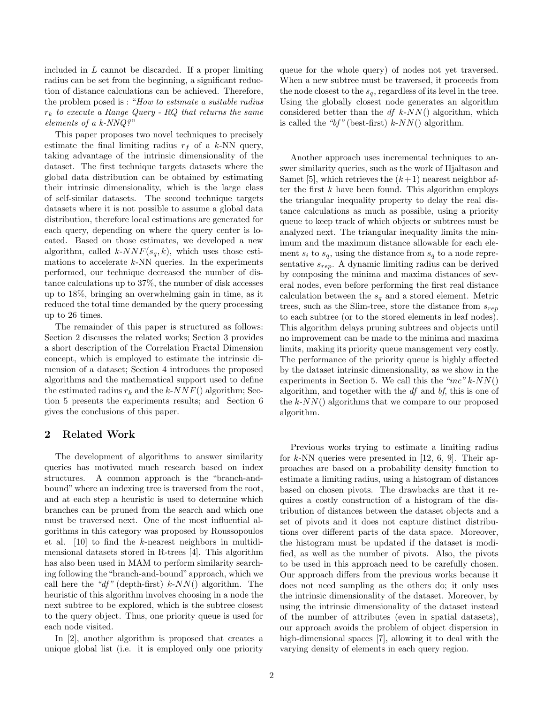included in L cannot be discarded. If a proper limiting radius can be set from the beginning, a significant reduction of distance calculations can be achieved. Therefore, the problem posed is : "How to estimate a suitable radius  $r_k$  to execute a Range Query - RQ that returns the same elements of a k-NNQ?"

This paper proposes two novel techniques to precisely estimate the final limiting radius  $r_f$  of a k-NN query, taking advantage of the intrinsic dimensionality of the dataset. The first technique targets datasets where the global data distribution can be obtained by estimating their intrinsic dimensionality, which is the large class of self-similar datasets. The second technique targets datasets where it is not possible to assume a global data distribution, therefore local estimations are generated for each query, depending on where the query center is located. Based on those estimates, we developed a new algorithm, called  $k\text{-}NNF(s_q, k)$ , which uses those estimations to accelerate  $k$ -NN queries. In the experiments performed, our technique decreased the number of distance calculations up to 37%, the number of disk accesses up to 18%, bringing an overwhelming gain in time, as it reduced the total time demanded by the query processing up to 26 times.

The remainder of this paper is structured as follows: Section 2 discusses the related works; Section 3 provides a short description of the Correlation Fractal Dimension concept, which is employed to estimate the intrinsic dimension of a dataset; Section 4 introduces the proposed algorithms and the mathematical support used to define the estimated radius  $r_k$  and the k-NNF() algorithm; Section 5 presents the experiments results; and Section 6 gives the conclusions of this paper.

## 2 Related Work

The development of algorithms to answer similarity queries has motivated much research based on index structures. A common approach is the "branch-andbound" where an indexing tree is traversed from the root, and at each step a heuristic is used to determine which branches can be pruned from the search and which one must be traversed next. One of the most influential algorithms in this category was proposed by Roussopoulos et al. [10] to find the k-nearest neighbors in multidimensional datasets stored in R-trees [4]. This algorithm has also been used in MAM to perform similarity searching following the "branch-and-bound" approach, which we call here the "df" (depth-first)  $k-NN$ () algorithm. The heuristic of this algorithm involves choosing in a node the next subtree to be explored, which is the subtree closest to the query object. Thus, one priority queue is used for each node visited.

In [2], another algorithm is proposed that creates a unique global list (i.e. it is employed only one priority queue for the whole query) of nodes not yet traversed. When a new subtree must be traversed, it proceeds from the node closest to the  $s_q$ , regardless of its level in the tree. Using the globally closest node generates an algorithm considered better than the  $df$  k-NN() algorithm, which is called the " $bf'$ " (best-first) k-NN() algorithm.

Another approach uses incremental techniques to answer similarity queries, such as the work of Hjaltason and Samet [5], which retrieves the  $(k+1)$  nearest neighbor after the first  $k$  have been found. This algorithm employs the triangular inequality property to delay the real distance calculations as much as possible, using a priority queue to keep track of which objects or subtrees must be analyzed next. The triangular inequality limits the minimum and the maximum distance allowable for each element  $s_i$  to  $s_q$ , using the distance from  $s_q$  to a node representative  $s_{rev}$ . A dynamic limiting radius can be derived by composing the minima and maxima distances of several nodes, even before performing the first real distance calculation between the  $s_q$  and a stored element. Metric trees, such as the Slim-tree, store the distance from  $s_{rep}$ to each subtree (or to the stored elements in leaf nodes). This algorithm delays pruning subtrees and objects until no improvement can be made to the minima and maxima limits, making its priority queue management very costly. The performance of the priority queue is highly affected by the dataset intrinsic dimensionality, as we show in the experiments in Section 5. We call this the "inc"  $k$ -NN() algorithm, and together with the df and bf, this is one of the  $k$ -NN() algorithms that we compare to our proposed algorithm.

Previous works trying to estimate a limiting radius for  $k$ -NN queries were presented in [12, 6, 9]. Their approaches are based on a probability density function to estimate a limiting radius, using a histogram of distances based on chosen pivots. The drawbacks are that it requires a costly construction of a histogram of the distribution of distances between the dataset objects and a set of pivots and it does not capture distinct distributions over different parts of the data space. Moreover, the histogram must be updated if the dataset is modified, as well as the number of pivots. Also, the pivots to be used in this approach need to be carefully chosen. Our approach differs from the previous works because it does not need sampling as the others do; it only uses the intrinsic dimensionality of the dataset. Moreover, by using the intrinsic dimensionality of the dataset instead of the number of attributes (even in spatial datasets), our approach avoids the problem of object dispersion in high-dimensional spaces [7], allowing it to deal with the varying density of elements in each query region.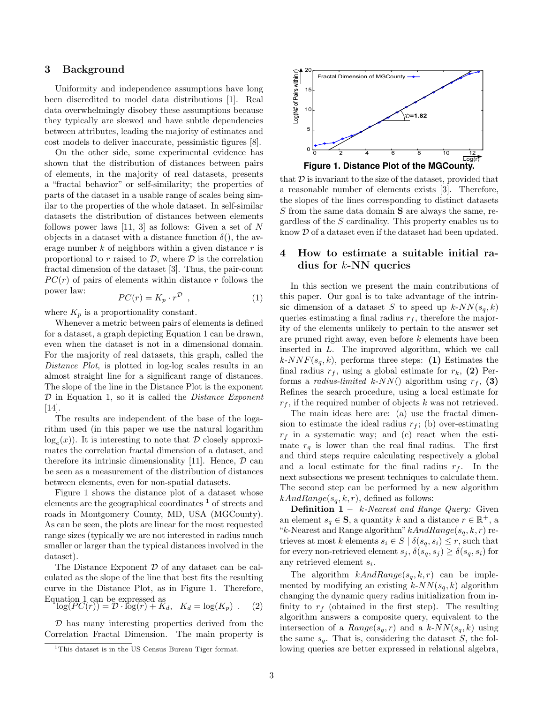#### 3 Background

Uniformity and independence assumptions have long been discredited to model data distributions [1]. Real data overwhelmingly disobey these assumptions because they typically are skewed and have subtle dependencies between attributes, leading the majority of estimates and cost models to deliver inaccurate, pessimistic figures [8].

On the other side, some experimental evidence has shown that the distribution of distances between pairs of elements, in the majority of real datasets, presents a "fractal behavior" or self-similarity; the properties of parts of the dataset in a usable range of scales being similar to the properties of the whole dataset. In self-similar datasets the distribution of distances between elements follows power laws [11, 3] as follows: Given a set of N objects in a dataset with a distance function  $\delta()$ , the average number  $k$  of neighbors within a given distance  $r$  is proportional to  $r$  raised to  $\mathcal{D}$ , where  $\mathcal{D}$  is the correlation fractal dimension of the dataset [3]. Thus, the pair-count  $PC(r)$  of pairs of elements within distance r follows the power law:

$$
PC(r) = K_p \cdot r^{\mathcal{D}} \t{,} \t(1)
$$

where  $K_p$  is a proportionality constant.

Whenever a metric between pairs of elements is defined for a dataset, a graph depicting Equation 1 can be drawn, even when the dataset is not in a dimensional domain. For the majority of real datasets, this graph, called the Distance Plot, is plotted in log-log scales results in an almost straight line for a significant range of distances. The slope of the line in the Distance Plot is the exponent  $D$  in Equation 1, so it is called the *Distance Exponent* [14].

The results are independent of the base of the logarithm used (in this paper we use the natural logarithm  $log_e(x)$ ). It is interesting to note that  $\mathcal D$  closely approximates the correlation fractal dimension of a dataset, and therefore its intrinsic dimensionality [11]. Hence,  $\mathcal D$  can be seen as a measurement of the distribution of distances between elements, even for non-spatial datasets.

Figure 1 shows the distance plot of a dataset whose elements are the geographical coordinates  $\frac{1}{1}$  of streets and roads in Montgomery County, MD, USA (MGCounty). As can be seen, the plots are linear for the most requested range sizes (typically we are not interested in radius much smaller or larger than the typical distances involved in the dataset).

The Distance Exponent  $D$  of any dataset can be calculated as the slope of the line that best fits the resulting curve in the Distance Plot, as in Figure 1. Therefore, Equation 1 can be expressed as

$$
\log(PC(r)) = \mathcal{D} \cdot \log(r) + \overline{K}_d, \quad K_d = \log(K_p) \quad . \tag{2}
$$

 $D$  has many interesting properties derived from the Correlation Fractal Dimension. The main property is



that  $D$  is invariant to the size of the dataset, provided that a reasonable number of elements exists [3]. Therefore, the slopes of the lines corresponding to distinct datasets S from the same data domain S are always the same, regardless of the S cardinality. This property enables us to know D of a dataset even if the dataset had been updated.

## 4 How to estimate a suitable initial radius for k-NN queries

In this section we present the main contributions of this paper. Our goal is to take advantage of the intrinsic dimension of a dataset S to speed up  $k$ -NN( $s_q$ , k) queries estimating a final radius  $r_f$ , therefore the majority of the elements unlikely to pertain to the answer set are pruned right away, even before k elements have been inserted in L. The improved algorithm, which we call  $k\text{-}NNF(s_q, k)$ , performs three steps: (1) Estimates the final radius  $r_f$ , using a global estimate for  $r_k$ , (2) Performs a *radius-limited k-NN*() algorithm using  $r_f$ , (3) Refines the search procedure, using a local estimate for  $r_f$ , if the required number of objects k was not retrieved.

The main ideas here are: (a) use the fractal dimension to estimate the ideal radius  $r_f$ ; (b) over-estimating  $r_f$  in a systematic way; and (c) react when the estimate  $r_q$  is lower than the real final radius. The first and third steps require calculating respectively a global and a local estimate for the final radius  $r_f$ . In the next subsections we present techniques to calculate them. The second step can be performed by a new algorithm  $kAndRange(s_q, k, r)$ , defined as follows:

**Definition 1** –  $k$ -Nearest and Range Query: Given an element  $s_q \in \mathbf{S}$ , a quantity k and a distance  $r \in \mathbb{R}^+$ , a "k-Nearest and Range algorithm"  $kAndRange(s_q, k, r)$  retrieves at most k elements  $s_i \in S \mid \delta(s_q, s_i) \leq r$ , such that for every non-retrieved element  $s_j$ ,  $\delta(s_q, s_j) \geq \delta(s_q, s_i)$  for any retrieved element  $s_i$ .

The algorithm  $kAndRange(s_q, k, r)$  can be implemented by modifying an existing  $k$ - $NN(s_q, k)$  algorithm changing the dynamic query radius initialization from infinity to  $r_f$  (obtained in the first step). The resulting algorithm answers a composite query, equivalent to the intersection of a  $Range(s_q, r)$  and a  $k$ -NN $(s_q, k)$  using the same  $s_q$ . That is, considering the dataset  $S$ , the following queries are better expressed in relational algebra,

<sup>1</sup>This dataset is in the US Census Bureau Tiger format.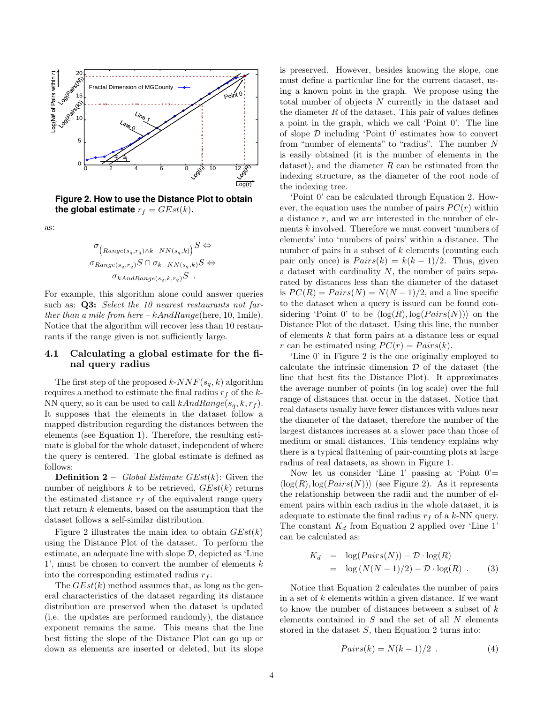

**Figure 2. How to use the Distance Plot to obtain the global estimate**  $r_f = GEst(k)$ .

as:

$$
\sigma_{\left(Range(s_q, r_q) \land k - NN(s_q, k)\right)} S \Leftrightarrow
$$
\n
$$
\sigma_{Range(s_q, r_q)} S \cap \sigma_{k - NN(s_q, k)} S \Leftrightarrow
$$
\n
$$
\sigma_{kAndRange(s_q, k, r_q)} S .
$$

For example, this algorithm alone could answer queries such as: **Q3:** Select the 10 nearest restaurants not farther than a mile from here  $-kAndRange$  (here, 10, 1mile). Notice that the algorithm will recover less than 10 restaurants if the range given is not sufficiently large.

## 4.1 Calculating a global estimate for the final query radius

The first step of the proposed  $k$ - $NNF(s_q, k)$  algorithm requires a method to estimate the final radius  $r_f$  of the k-NN query, so it can be used to call  $kAndRange(s_q, k, r_f)$ . It supposes that the elements in the dataset follow a mapped distribution regarding the distances between the elements (see Equation 1). Therefore, the resulting estimate is global for the whole dataset, independent of where the query is centered. The global estimate is defined as follows:

**Definition 2** – Global Estimate  $GEst(k)$ : Given the number of neighbors  $k$  to be retrieved,  $GEst(k)$  returns the estimated distance  $r_f$  of the equivalent range query that return  $k$  elements, based on the assumption that the dataset follows a self-similar distribution.

Figure 2 illustrates the main idea to obtain  $GEst(k)$ using the Distance Plot of the dataset. To perform the estimate, an adequate line with slope  $D$ , depicted as 'Line 1', must be chosen to convert the number of elements k into the corresponding estimated radius  $r_f$ .

The  $GEst(k)$  method assumes that, as long as the general characteristics of the dataset regarding its distance distribution are preserved when the dataset is updated (i.e. the updates are performed randomly), the distance exponent remains the same. This means that the line best fitting the slope of the Distance Plot can go up or down as elements are inserted or deleted, but its slope is preserved. However, besides knowing the slope, one must define a particular line for the current dataset, using a known point in the graph. We propose using the total number of objects N currently in the dataset and the diameter  $R$  of the dataset. This pair of values defines a point in the graph, which we call 'Point 0'. The line of slope  $\mathcal D$  including 'Point  $0$ ' estimates how to convert from "number of elements" to "radius". The number N is easily obtained (it is the number of elements in the dataset), and the diameter  $R$  can be estimated from the indexing structure, as the diameter of the root node of the indexing tree.

'Point 0' can be calculated through Equation 2. However, the equation uses the number of pairs  $PC(r)$  within a distance  $r$ , and we are interested in the number of elements k involved. Therefore we must convert 'numbers of elements' into 'numbers of pairs' within a distance. The number of pairs in a subset of  $k$  elements (counting each pair only once) is  $Pairs(k) = k(k-1)/2$ . Thus, given a dataset with cardinality  $N$ , the number of pairs separated by distances less than the diameter of the dataset is  $PC(R) = Pairs(N) = N(N-1)/2$ , and a line specific to the dataset when a query is issued can be found considering 'Point 0' to be  $\langle \log(R), \log(Pairs(N)) \rangle$  on the Distance Plot of the dataset. Using this line, the number of elements k that form pairs at a distance less or equal r can be estimated using  $PC(r) = Pairs(k)$ .

'Line 0' in Figure 2 is the one originally employed to calculate the intrinsic dimension  $\mathcal D$  of the dataset (the line that best fits the Distance Plot). It approximates the average number of points (in log scale) over the full range of distances that occur in the dataset. Notice that real datasets usually have fewer distances with values near the diameter of the dataset, therefore the number of the largest distances increases at a slower pace than those of medium or small distances. This tendency explains why there is a typical flattening of pair-counting plots at large radius of real datasets, as shown in Figure 1.

Now let us consider 'Line 1' passing at 'Point  $0'$ =  $\langle \log(R), \log(Pairs(N)) \rangle$  (see Figure 2). As it represents the relationship between the radii and the number of element pairs within each radius in the whole dataset, it is adequate to estimate the final radius  $r_f$  of a k-NN query. The constant  $K_d$  from Equation 2 applied over 'Line 1' can be calculated as:

$$
K_d = \log(Pairs(N)) - \mathcal{D} \cdot \log(R)
$$
  
=  $\log(N(N-1)/2) - \mathcal{D} \cdot \log(R)$ . (3)

Notice that Equation 2 calculates the number of pairs in a set of  $k$  elements within a given distance. If we want to know the number of distances between a subset of  $k$ elements contained in  $S$  and the set of all  $N$  elements stored in the dataset  $S$ , then Equation 2 turns into:

$$
Pairs(k) = N(k-1)/2 . \tag{4}
$$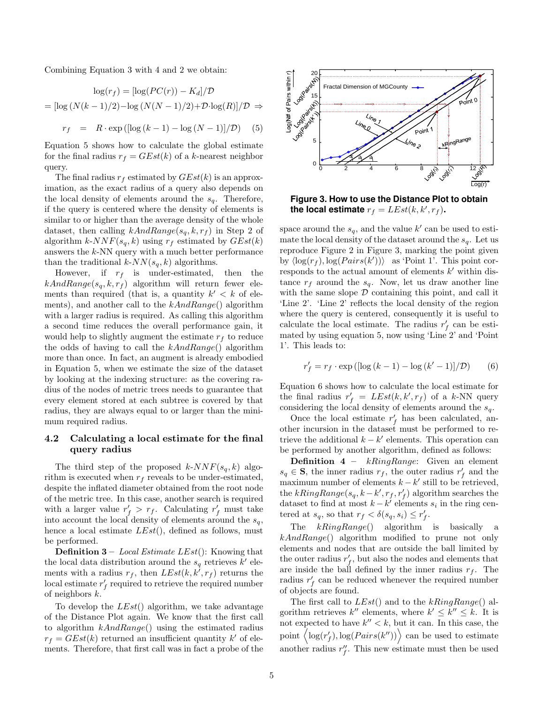Combining Equation 3 with 4 and 2 we obtain:

$$
\log(r_f) = [\log(PC(r)) - K_d]/\mathcal{D}
$$

$$
= [\log(N(k-1)/2) - \log(N(N-1)/2) + \mathcal{D} \cdot \log(R)]/\mathcal{D} \Rightarrow
$$

$$
r_f = R \cdot \exp([\log(k-1) - \log(N-1)]/\mathcal{D}) \quad (5)
$$

Equation 5 shows how to calculate the global estimate for the final radius  $r_f = GEst(k)$  of a k-nearest neighbor query.

The final radius  $r_f$  estimated by  $GEst(k)$  is an approximation, as the exact radius of a query also depends on the local density of elements around the  $s_q$ . Therefore, if the query is centered where the density of elements is similar to or higher than the average density of the whole dataset, then calling  $kAndRange(s_q, k, r_f)$  in Step 2 of algorithm  $k\text{-}NNF(s_q, k)$  using  $r_f$  estimated by  $GEst(k)$ answers the  $k$ -NN query with a much better performance than the traditional  $k$ - $NN(s_q, k)$  algorithms.

However, if  $r_f$  is under-estimated, then the  $kAndRange(s_q, k, r_f)$  algorithm will return fewer elements than required (that is, a quantity  $k' < k$  of elements), and another call to the  $kAndRange()$  algorithm with a larger radius is required. As calling this algorithm a second time reduces the overall performance gain, it would help to slightly augment the estimate  $r_f$  to reduce the odds of having to call the  $kAndRange()$  algorithm more than once. In fact, an augment is already embodied in Equation 5, when we estimate the size of the dataset by looking at the indexing structure: as the covering radius of the nodes of metric trees needs to guarantee that every element stored at each subtree is covered by that radius, they are always equal to or larger than the minimum required radius.

#### 4.2 Calculating a local estimate for the final query radius

The third step of the proposed  $k\text{-}NNF(s_q, k)$  algorithm is executed when  $r_f$  reveals to be under-estimated, despite the inflated diameter obtained from the root node of the metric tree. In this case, another search is required with a larger value  $r'_f > r_f$ . Calculating  $r'_f$  must take into account the local density of elements around the  $s_q$ , hence a local estimate  $LEst()$ , defined as follows, must be performed.

**Definition 3** – *Local Estimate LEst*(): Knowing that the local data distribution around the  $s_q$  retrieves  $k'$  elements with a radius  $r_f$ , then  $LEst(k, k^{\prime}, r_f)$  returns the local estimate  $r'_f$  required to retrieve the required number of neighbors k.

To develop the  $LEst()$  algorithm, we take advantage of the Distance Plot again. We know that the first call to algorithm  $kAndRange()$  using the estimated radius  $r_f = GEst(k)$  returned an insufficient quantity k' of elements. Therefore, that first call was in fact a probe of the



**Figure 3. How to use the Distance Plot to obtain** the local estimate  $r_f = LEst(k, k', r_f)$ .

space around the  $s_q$ , and the value k' can be used to estimate the local density of the dataset around the  $s_a$ . Let us reproduce Figure 2 in Figure 3, marking the point given by  $\langle \log(r_f), \log(Pairs(k')) \rangle$  as 'Point 1'. This point corresponds to the actual amount of elements  $k'$  within distance  $r_f$  around the  $s_q$ . Now, let us draw another line with the same slope  $D$  containing this point, and call it 'Line 2'. 'Line 2' reflects the local density of the region where the query is centered, consequently it is useful to calculate the local estimate. The radius  $r'_f$  can be estimated by using equation 5, now using 'Line 2' and 'Point 1'. This leads to:

$$
r'_{f} = r_{f} \cdot \exp\left(\left[\log\left(k-1\right) - \log\left(k'-1\right)\right]/\mathcal{D}\right) \tag{6}
$$

Equation 6 shows how to calculate the local estimate for the final radius  $r'_f = LEst(k, k', r_f)$  of a k-NN query considering the local density of elements around the  $s_q$ .

Once the local estimate  $r'_f$  has been calculated, another incursion in the dataset must be performed to retrieve the additional  $k - k'$  elements. This operation can be performed by another algorithm, defined as follows:

**Definition 4** –  $kRingRange:$  Given an element  $s_q \in \mathbf{S}$ , the inner radius  $r_f$ , the outer radius  $r'_f$  and the maximum number of elements  $k - k'$  still to be retrieved, the  $kRingRange(s_q, k - k', r_f, r_f')$  algorithm searches the dataset to find at most  $k - k'$  elements  $s_i$  in the ring centered at  $s_q$ , so that  $r_f < \delta(s_q, s_i) \leq r'_f$ .

The  $kRingRange()$  algorithm is basically a kAndRange() algorithm modified to prune not only elements and nodes that are outside the ball limited by the outer radius  $r'_f$ , but also the nodes and elements that are inside the ball defined by the inner radius  $r_f$ . The radius  $r'_f$  can be reduced whenever the required number of objects are found.

The first call to  $LEst()$  and to the  $kRingRange()$  algorithm retrieves  $k''$  elements, where  $k' \leq k'' \leq k$ . It is not expected to have  $k'' < k$ , but it can. In this case, the point  $\langle \log(r'_f), \log(Pairs(k'')) \rangle$  can be used to estimate another radius  $r''_f$ . This new estimate must then be used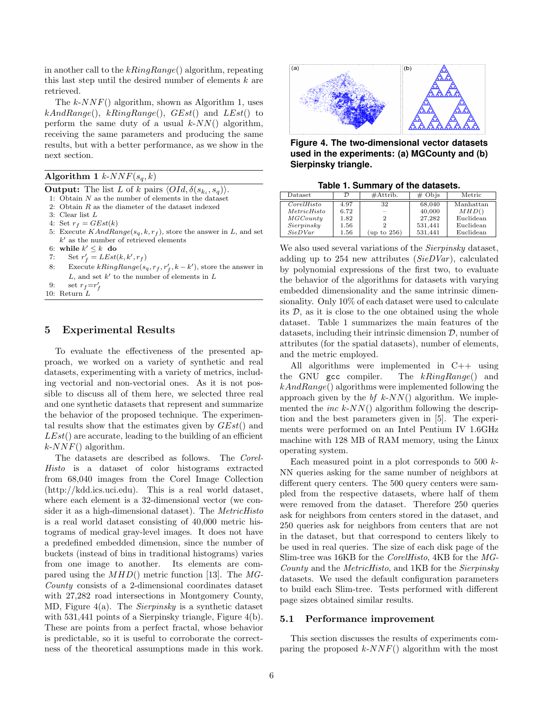in another call to the  $kRingRange()$  algorithm, repeating this last step until the desired number of elements  $k$  are retrieved.

The  $k\text{-}NNF()$  algorithm, shown as Algorithm 1, uses  $kAndRange(),$   $kRingRange(),$   $GEst()$  and  $LEst()$  to perform the same duty of a usual  $k$ - $NN$ () algorithm, receiving the same parameters and producing the same results, but with a better performance, as we show in the next section.

| Algorithm 1 $k$ - $NNF(s_q, k)$ |  |  |  |  |
|---------------------------------|--|--|--|--|
|---------------------------------|--|--|--|--|

**Output:** The list L of k pairs  $\langle OId, \delta(s_{k_i}, s_q) \rangle$ .

- 1: Obtain  $N$  as the number of elements in the dataset
- 2: Obtain R as the diameter of the dataset indexed
- 3: Clear list L

4: Set  $r_f = GEst(k)$ 

- 5: Execute  $KAndRange(s_q, k, r_f)$ , store the answer in L, and set  $k'$  as the number of retrieved elements
- 6: while  $k' \leq k$  do
- 7: Set  $r'_f = LEst(k, k', r_f)$
- 8: Execute  $kRingRange(s_q, r_f, r_f', k k')$ , store the answer in  $L$ , and set  $k'$  to the number of elements in  $L$
- 9: set  $r_f = r'_f$

10: Return  $L$ 

## 5 Experimental Results

To evaluate the effectiveness of the presented approach, we worked on a variety of synthetic and real datasets, experimenting with a variety of metrics, including vectorial and non-vectorial ones. As it is not possible to discuss all of them here, we selected three real and one synthetic datasets that represent and summarize the behavior of the proposed technique. The experimental results show that the estimates given by  $GEst()$  and  $LEst()$  are accurate, leading to the building of an efficient  $k$ -NNF() algorithm.

The datasets are described as follows. The Corel-Histo is a dataset of color histograms extracted from 68,040 images from the Corel Image Collection (http://kdd.ics.uci.edu). This is a real world dataset, where each element is a 32-dimensional vector (we consider it as a high-dimensional dataset). The *MetricHisto* is a real world dataset consisting of 40,000 metric histograms of medical gray-level images. It does not have a predefined embedded dimension, since the number of buckets (instead of bins in traditional histograms) varies from one image to another. Its elements are compared using the  $MHD()$  metric function [13]. The MG-County consists of a 2-dimensional coordinates dataset with 27,282 road intersections in Montgomery County, MD, Figure 4(a). The Sierpinsky is a synthetic dataset with 531,441 points of a Sierpinsky triangle, Figure 4(b). These are points from a perfect fractal, whose behavior is predictable, so it is useful to corroborate the correctness of the theoretical assumptions made in this work.



**Figure 4. The two-dimensional vector datasets used in the experiments: (a) MGCounty and (b) Sierpinsky triangle.**

**Table 1. Summary of the datasets.**

| $_{\text{Dataset}}$ | 7)   | $\#$ Attrib. | $# \; \text{Objs}$ | Metric    |
|---------------------|------|--------------|--------------------|-----------|
| CorelHisto          | 4.97 | 32           | 68,040             | Manhattan |
| MetricHisto         | 6.72 |              | 40,000             | MHD()     |
| MGCountu            | 1.82 | 2            | 27.282             | Euclidean |
| Sierpinsky          | 1.56 |              | 531.441            | Euclidean |
| SieDVar             | 1.56 | (up to 256)  | 531.441            | Euclidean |

We also used several variations of the *Sierpinsky* dataset, adding up to 254 new attributes ( $SieDVar$ ), calculated by polynomial expressions of the first two, to evaluate the behavior of the algorithms for datasets with varying embedded dimensionality and the same intrinsic dimensionality. Only 10% of each dataset were used to calculate its  $D$ , as it is close to the one obtained using the whole dataset. Table 1 summarizes the main features of the datasets, including their intrinsic dimension  $\mathcal{D}$ , number of attributes (for the spatial datasets), number of elements, and the metric employed.

All algorithms were implemented in C++ using the GNU gcc compiler. The  $kRingRange()$  and  $kAndRange()$  algorithms were implemented following the approach given by the  $bf k$ -NN() algorithm. We implemented the *inc k-NN*() algorithm following the description and the best parameters given in [5]. The experiments were performed on an Intel Pentium IV 1.6GHz machine with 128 MB of RAM memory, using the Linux operating system.

Each measured point in a plot corresponds to 500  $k$ -NN queries asking for the same number of neighbors at different query centers. The 500 query centers were sampled from the respective datasets, where half of them were removed from the dataset. Therefore 250 queries ask for neighbors from centers stored in the dataset, and 250 queries ask for neighbors from centers that are not in the dataset, but that correspond to centers likely to be used in real queries. The size of each disk page of the Slim-tree was 16KB for the CorelHisto, 4KB for the MG-County and the MetricHisto, and 1KB for the Sierpinsky datasets. We used the default configuration parameters to build each Slim-tree. Tests performed with different page sizes obtained similar results.

#### 5.1 Performance improvement

This section discusses the results of experiments comparing the proposed  $k$ -NNF() algorithm with the most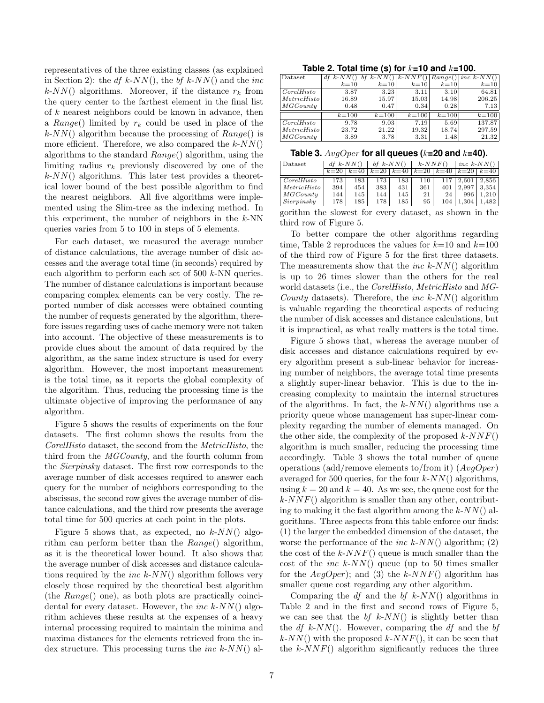representatives of the three existing classes (as explained in Section 2): the df k-NN(), the bf k-NN() and the inc  $k$ -NN() algorithms. Moreover, if the distance  $r_k$  from the query center to the farthest element in the final list of  $k$  nearest neighbors could be known in advance, then a Range() limited by  $r_k$  could be used in place of the  $k$ -NN() algorithm because the processing of  $Range()$  is more efficient. Therefore, we also compared the  $k$ - $NN()$ algorithms to the standard Range() algorithm, using the limiting radius  $r_k$  previously discovered by one of the  $k$ - $NN$ () algorithms. This later test provides a theoretical lower bound of the best possible algorithm to find the nearest neighbors. All five algorithms were implemented using the Slim-tree as the indexing method. In this experiment, the number of neighbors in the  $k$ -NN queries varies from 5 to 100 in steps of 5 elements.

For each dataset, we measured the average number of distance calculations, the average number of disk accesses and the average total time (in seconds) required by each algorithm to perform each set of 500 k-NN queries. The number of distance calculations is important because comparing complex elements can be very costly. The reported number of disk accesses were obtained counting the number of requests generated by the algorithm, therefore issues regarding uses of cache memory were not taken into account. The objective of these measurements is to provide clues about the amount of data required by the algorithm, as the same index structure is used for every algorithm. However, the most important measurement is the total time, as it reports the global complexity of the algorithm. Thus, reducing the processing time is the ultimate objective of improving the performance of any algorithm.

Figure 5 shows the results of experiments on the four datasets. The first column shows the results from the CorelHisto dataset, the second from the MetricHisto, the third from the MGCounty, and the fourth column from the Sierpinsky dataset. The first row corresponds to the average number of disk accesses required to answer each query for the number of neighbors corresponding to the abscissas, the second row gives the average number of distance calculations, and the third row presents the average total time for 500 queries at each point in the plots.

Figure 5 shows that, as expected, no  $k$ -NN() algorithm can perform better than the  $Range()$  algorithm, as it is the theoretical lower bound. It also shows that the average number of disk accesses and distance calculations required by the *inc k-NN*() algorithm follows very closely those required by the theoretical best algorithm (the Range() one), as both plots are practically coincidental for every dataset. However, the *inc k-NN()* algorithm achieves these results at the expenses of a heavy internal processing required to maintain the minima and maxima distances for the elements retrieved from the index structure. This processing turns the *inc k-NN*() al-

| Table 2. Total time (s) for $k=10$ and $k=100$ . |  |  |  |  |
|--------------------------------------------------|--|--|--|--|
|--------------------------------------------------|--|--|--|--|

| Dataset     | $df k - NN()$ | bf k- $NN()$  k- $NNF()$ |           | $\overline{Range}()$ | $inc k$ -NN() |
|-------------|---------------|--------------------------|-----------|----------------------|---------------|
|             | $k=10$        | $k=10$                   | $k=10$    | $k=10$               | $k=10$        |
| CorelHisto  | 3.87          | 3.23                     | 3.11      | 3.10                 | 64.81         |
| MetricHisto | 16.89         | 15.97                    | 15.03     | 14.98                | 206.25        |
| MGCountu    | 0.48          | 0.47                     | 0.34      | 0.28                 | 7.13          |
|             | $k = 100$     | $k = 100$                | $k = 100$ | $k = 100$            | $k = 100$     |
| CorelHisto  | 9.78          | 9.03                     | 7.19      | 5.69                 | 137.87        |
| MetricHisto | 23.72         | 21.22                    | 19.32     | 18.74                | 297.59        |
| MGCountu    | 3.89          | 3.78                     | 3.31      | 1.48                 | 21.32         |

| Table 3. $AvgOper$ for all queues ( $k=20$ and $k=40$ ). |  |  |  |
|----------------------------------------------------------|--|--|--|
|----------------------------------------------------------|--|--|--|

| Dataset     |        | $df$ k-NN( |        | bf $k$ -NN() |        | $k$ -NNF $($ |        | inc $k$ - $NN()$ |  |
|-------------|--------|------------|--------|--------------|--------|--------------|--------|------------------|--|
|             | $k=20$ | $k=40$     | $k=20$ | $k=40$       | $k=20$ | $k=40$       | $k=20$ | $k=40$           |  |
| CorelHisto  | 173    | 183        | 173    | 183          | 110    | 117          | 2.601  | 2.856            |  |
| MetricHisto | 394    | 454        | 383    | 431          | 361    | 401          | 2.997  | 3.354            |  |
| MGCountry   | 144    | 145        | 144    | 145          | 21     | 24           | 996    | .210             |  |
| Sierpinsky  | 178    | 185        | 178    | 185          | 95     | 104          | .304   | . 482            |  |
|             |        |            |        |              |        |              |        |                  |  |

gorithm the slowest for every dataset, as shown in the third row of Figure 5.

To better compare the other algorithms regarding time, Table 2 reproduces the values for  $k=10$  and  $k=100$ of the third row of Figure 5 for the first three datasets. The measurements show that the *inc k-NN()* algorithm is up to 26 times slower than the others for the real world datasets (i.e., the *CorelHisto*, *MetricHisto* and *MG*-County datasets). Therefore, the *inc k-NN*() algorithm is valuable regarding the theoretical aspects of reducing the number of disk accesses and distance calculations, but it is impractical, as what really matters is the total time.

Figure 5 shows that, whereas the average number of disk accesses and distance calculations required by every algorithm present a sub-linear behavior for increasing number of neighbors, the average total time presents a slightly super-linear behavior. This is due to the increasing complexity to maintain the internal structures of the algorithms. In fact, the  $k$ - $NN()$  algorithms use a priority queue whose management has super-linear complexity regarding the number of elements managed. On the other side, the complexity of the proposed  $k$ - $NNF()$ algorithm is much smaller, reducing the processing time accordingly. Table 3 shows the total number of queue operations (add/remove elements to/from it)  $(AvgOper)$ averaged for 500 queries, for the four  $k-NN($ ) algorithms, using  $k = 20$  and  $k = 40$ . As we see, the queue cost for the  $k\text{-}NNF()$  algorithm is smaller than any other, contributing to making it the fast algorithm among the  $k$ -NN() algorithms. Three aspects from this table enforce our finds: (1) the larger the embedded dimension of the dataset, the worse the performance of the *inc k-NN*() algorithm; (2) the cost of the  $k$ -NNF() queue is much smaller than the cost of the *inc k-NN*() queue (up to 50 times smaller for the  $AvgOper$ ; and (3) the k-NNF() algorithm has smaller queue cost regarding any other algorithm.

Comparing the  $df$  and the  $bf$  k-NN() algorithms in Table 2 and in the first and second rows of Figure 5, we can see that the bf  $k-NN$ ) is slightly better than the df k-NN(). However, comparing the df and the bf  $k-NN($ ) with the proposed  $k-NNF($ ), it can be seen that the  $k$ -NNF() algorithm significantly reduces the three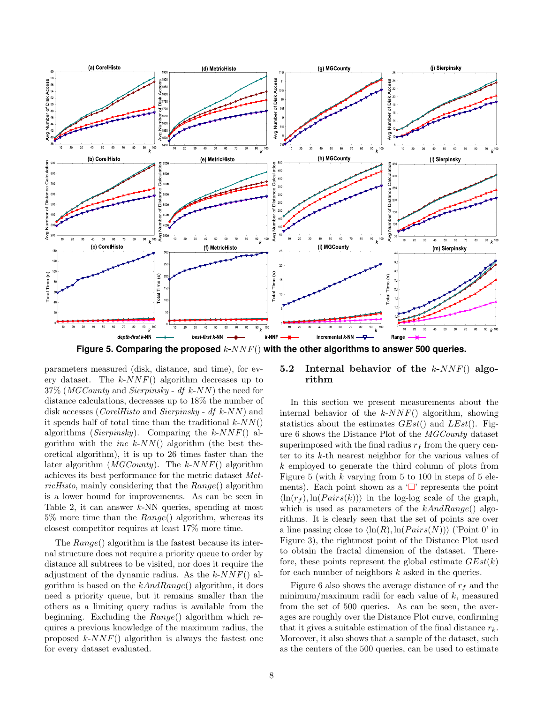

Figure 5. Comparing the proposed  $k$ - $NNF()$  with the other algorithms to answer 500 queries.

parameters measured (disk, distance, and time), for every dataset. The  $k\text{-}NNF()$  algorithm decreases up to  $37\%$  (*MGCounty* and *Sierpinsky* - *df k-NN*) the need for distance calculations, decreases up to 18% the number of disk accesses (*CorelHisto* and *Sierpinsky* - df k-NN) and it spends half of total time than the traditional  $k-NN($ ) algorithms (Sierpinsky). Comparing the  $k$ -NNF() algorithm with the  $inc\;k\text{-}NN()$  algorithm (the best theoretical algorithm), it is up to 26 times faster than the later algorithm  $(MGCounty)$ . The k-NNF() algorithm achieves its best performance for the metric dataset MetricHisto, mainly considering that the  $Range()$  algorithm is a lower bound for improvements. As can be seen in Table 2, it can answer  $k$ -NN queries, spending at most  $5\%$  more time than the  $Range()$  algorithm, whereas its closest competitor requires at least 17% more time.

The Range() algorithm is the fastest because its internal structure does not require a priority queue to order by distance all subtrees to be visited, nor does it require the adjustment of the dynamic radius. As the  $k$ -NNF() algorithm is based on the  $kAndRange()$  algorithm, it does need a priority queue, but it remains smaller than the others as a limiting query radius is available from the beginning. Excluding the  $Range()$  algorithm which requires a previous knowledge of the maximum radius, the proposed  $k$ - $NNF()$  algorithm is always the fastest one for every dataset evaluated.

## 5.2 Internal behavior of the  $k$ -NNF() algorithm

In this section we present measurements about the internal behavior of the  $k$ - $NNF()$  algorithm, showing statistics about the estimates  $GEst()$  and  $LEst()$ . Figure 6 shows the Distance Plot of the MGCounty dataset superimposed with the final radius  $r_f$  from the query center to its k-th nearest neighbor for the various values of k employed to generate the third column of plots from Figure 5 (with  $k$  varying from 5 to 100 in steps of 5 elements). Each point shown as a  $\Box$  represents the point  $\langle \ln(r_f), \ln(Pairs(k)) \rangle$  in the log-log scale of the graph, which is used as parameters of the  $kAndRange()$  algorithms. It is clearly seen that the set of points are over a line passing close to  $\langle \ln(R), \ln(Pairs(N)) \rangle$  ('Point 0' in Figure 3), the rightmost point of the Distance Plot used to obtain the fractal dimension of the dataset. Therefore, these points represent the global estimate  $GEst(k)$ for each number of neighbors  $k$  asked in the queries.

Figure 6 also shows the average distance of  $r_f$  and the minimum/maximum radii for each value of  $k$ , measured from the set of 500 queries. As can be seen, the averages are roughly over the Distance Plot curve, confirming that it gives a suitable estimation of the final distance  $r_k$ . Moreover, it also shows that a sample of the dataset, such as the centers of the 500 queries, can be used to estimate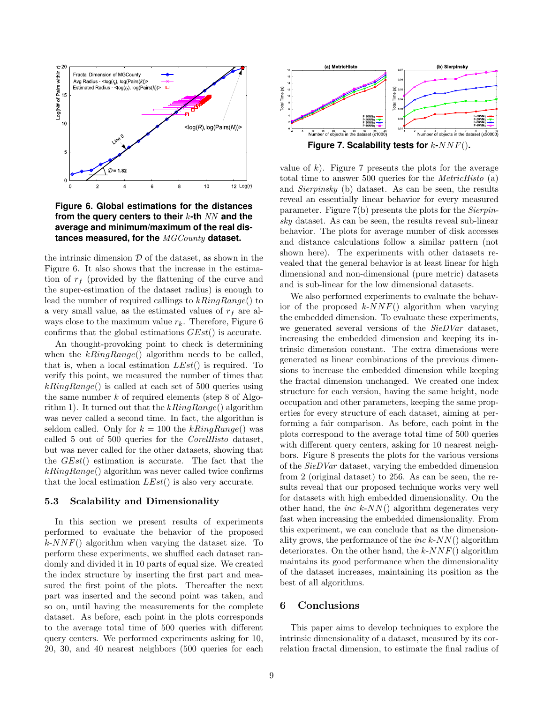

**Figure 6. Global estimations for the distances from the query centers to their** k**-th** NN **and the average and minimum/maximum of the real distances measured, for the** MGCounty **dataset.**

the intrinsic dimension  $D$  of the dataset, as shown in the Figure 6. It also shows that the increase in the estimation of  $r_f$  (provided by the flattening of the curve and the super-estimation of the dataset radius) is enough to lead the number of required callings to  $kRingRange()$  to a very small value, as the estimated values of  $r_f$  are always close to the maximum value  $r_k$ . Therefore, Figure 6 confirms that the global estimations GEst() is accurate.

An thought-provoking point to check is determining when the  $kRingRange()$  algorithm needs to be called, that is, when a local estimation  $LEst()$  is required. To verify this point, we measured the number of times that  $kRingRange()$  is called at each set of 500 queries using the same number  $k$  of required elements (step 8 of Algorithm 1). It turned out that the  $kRingRange()$  algorithm was never called a second time. In fact, the algorithm is seldom called. Only for  $k = 100$  the  $kRingRange()$  was called 5 out of 500 queries for the CorelHisto dataset, but was never called for the other datasets, showing that the  $GEst()$  estimation is accurate. The fact that the  $kRingRange()$  algorithm was never called twice confirms that the local estimation  $LEst()$  is also very accurate.

#### 5.3 Scalability and Dimensionality

In this section we present results of experiments performed to evaluate the behavior of the proposed  $k$ -NNF() algorithm when varying the dataset size. To perform these experiments, we shuffled each dataset randomly and divided it in 10 parts of equal size. We created the index structure by inserting the first part and measured the first point of the plots. Thereafter the next part was inserted and the second point was taken, and so on, until having the measurements for the complete dataset. As before, each point in the plots corresponds to the average total time of 500 queries with different query centers. We performed experiments asking for 10, 20, 30, and 40 nearest neighbors (500 queries for each



value of k). Figure 7 presents the plots for the average total time to answer 500 queries for the MetricHisto (a) and Sierpinsky (b) dataset. As can be seen, the results reveal an essentially linear behavior for every measured parameter. Figure 7(b) presents the plots for the Sierpinsky dataset. As can be seen, the results reveal sub-linear behavior. The plots for average number of disk accesses and distance calculations follow a similar pattern (not shown here). The experiments with other datasets revealed that the general behavior is at least linear for high dimensional and non-dimensional (pure metric) datasets

and is sub-linear for the low dimensional datasets.

We also performed experiments to evaluate the behavior of the proposed  $k$ -NNF() algorithm when varying the embedded dimension. To evaluate these experiments, we generated several versions of the SieDVar dataset, increasing the embedded dimension and keeping its intrinsic dimension constant. The extra dimensions were generated as linear combinations of the previous dimensions to increase the embedded dimension while keeping the fractal dimension unchanged. We created one index structure for each version, having the same height, node occupation and other parameters, keeping the same properties for every structure of each dataset, aiming at performing a fair comparison. As before, each point in the plots correspond to the average total time of 500 queries with different query centers, asking for 10 nearest neighbors. Figure 8 presents the plots for the various versions of the SieDVar dataset, varying the embedded dimension from 2 (original dataset) to 256. As can be seen, the results reveal that our proposed technique works very well for datasets with high embedded dimensionality. On the other hand, the *inc k-NN*() algorithm degenerates very fast when increasing the embedded dimensionality. From this experiment, we can conclude that as the dimensionality grows, the performance of the *inc k-NN()* algorithm deteriorates. On the other hand, the  $k$ -NNF() algorithm maintains its good performance when the dimensionality of the dataset increases, maintaining its position as the best of all algorithms.

## 6 Conclusions

This paper aims to develop techniques to explore the intrinsic dimensionality of a dataset, measured by its correlation fractal dimension, to estimate the final radius of